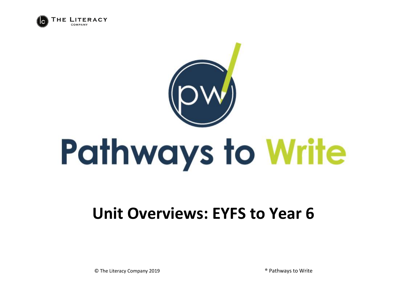



## **Unit Overviews: EYFS to Year 6**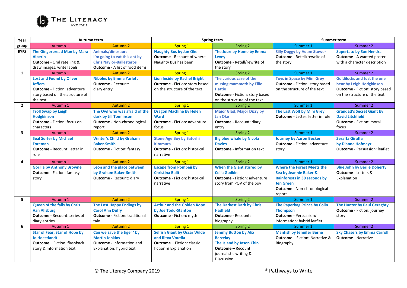

| Year           | Autumn term                          |                                       | Spring term                           |                                       | <b>Summer term</b>                      |                                       |
|----------------|--------------------------------------|---------------------------------------|---------------------------------------|---------------------------------------|-----------------------------------------|---------------------------------------|
| group          | Autumn 1                             | <b>Autumn 2</b>                       | <b>Spring 1</b>                       | Spring 2                              | Summer 1                                | Summer 2                              |
| <b>EYFS</b>    | <b>The Gingerbread Man by Mara</b>   | Animals/dinosaurs                     | <b>Naughty Bus by Jan Oke</b>         | The Journey Home by Emma              | <b>Silly Doggy by Adam Stower</b>       | <b>Supertato by Sue Hendra</b>        |
|                | <b>Alperin</b>                       | I'm going to eat this ant by          | <b>Outcome</b> - Recount of where     | Levey                                 | Outcome - Retell/rewrite of             | <b>Outcome</b> - A wanted poster      |
|                | Outcome - Oral retelling &           | <b>Chris Naylor-Ballesteros</b>       | Naughty Bus has been                  | <b>Outcome</b> - Retell/rewrite of    | the story                               | with a character description          |
|                | draw images, write labels            | <b>Outcome</b> - A list of food items |                                       | the story                             |                                         |                                       |
| 1              | Autumn 1                             | <b>Autumn 2</b>                       | Spring 1                              | Spring 2                              | Summer 1                                | Summer 2                              |
|                | <b>Lost and Found by Oliver</b>      | <b>Nibbles by Emma Yarlett</b>        | <b>Lion Inside by Rachel Bright</b>   | The curious case of the               | <b>Toys in Space by Mini Grey</b>       | <b>Goldilocks and Just the one</b>    |
|                | <b>Jeffers</b>                       | <b>Outcome</b> - Recount:             | <b>Outcome</b> - Fiction: story based | missing mammoth by Ellie              | <b>Outcome</b> - Fiction: story based   | bear by Leigh Hodgkinson              |
|                | <b>Outcome</b> - Fiction: adventure  | diary entry                           | on the structure of the text          | <b>Hattie</b>                         | on the structure of the text            | <b>Outcome</b> - Fiction: story based |
|                | story based on the structure of      |                                       |                                       | <b>Outcome</b> - Fiction: story based |                                         | on the structure of the text          |
|                | the text                             |                                       |                                       | on the structure of the text          |                                         |                                       |
| $\overline{2}$ | Autumn 1                             | <b>Autumn 2</b>                       | <b>Spring 1</b>                       | Spring 2                              | Summer 1                                | Summer 2                              |
|                | <b>Troll Swap by Leigh</b>           | The Owl who was afraid of the         | <b>Dragon Machine by Helen</b>        | <b>Major Glad, Major Dizzy by</b>     | The Last Wolf by Mini Grey              | <b>Grandad's Secret Giant by</b>      |
|                | <b>Hodgkinson</b>                    | dark by Jill Tomlinson                | <b>Ward</b>                           | Jan Oke                               | <b>Outcome</b> - Letter: letter in role | <b>David Litchfield</b>               |
|                | <b>Outcome</b> - Fiction: focus on   | <b>Outcome</b> - Non-chronological    | <b>Outcome</b> - Fiction: adventure   | <b>Outcome</b> - Recount: diary       |                                         | <b>Outcome</b> - Fiction: moral       |
|                | characters                           | report                                | focus                                 | entry                                 |                                         | focus                                 |
| $\mathbf{3}$   | Autumn 1                             | Autumn <sub>2</sub>                   | Spring 1                              | Spring 2                              | Summer 1                                | Summer 2                              |
|                | <b>Seal Surfer by Michael</b>        | <b>Winter's Child by Graham</b>       | <b>Stone Age Boy by Satoshi</b>       | <b>Big blue whale by Nicola</b>       | <b>Journey by Aaron Becker</b>          | <b>Zeraffa Giraffa</b>                |
|                | <b>Foreman</b>                       | <b>Baker-Smith</b>                    | <b>Kitamura</b>                       | <b>Davies</b>                         | <b>Outcome</b> - Fiction: adventure     | by Dianne Hofmeyr                     |
|                | <b>Outcome</b> - Recount: letter in  | <b>Outcome</b> - Fiction: fantasy     | <b>Outcome - Fiction: historical</b>  | <b>Outcome</b> - Information text     | story                                   | <b>Outcome</b> - Persuasion: leaflet  |
|                | role                                 |                                       | narrative                             |                                       |                                         |                                       |
| 4              | Autumn 1                             | <b>Autumn 2</b>                       | Spring 1                              | Spring 2                              | Summer 1                                | Summer 2                              |
|                | <b>Gorilla by Anthony Browne</b>     | Leon and the place between            | <b>Escape from Pompeii by</b>         | When the Giant stirred by             | <b>Where the Forest Meets the</b>       | <b>Blue John by Berlie Doherty</b>    |
|                | <b>Outcome</b> - Fiction: fantasy    | by Graham Baker-Smith                 | <b>Christina Balit</b>                | <b>Celia Godkin</b>                   | Sea by Jeannie Baker &                  | <b>Outcome</b> - Letters &            |
|                | story                                | <b>Outcome</b> - Recount: diary       | <b>Outcome</b> - Fiction: historical  | <b>Outcome</b> - Fiction: adventure   | <b>Rainforests in 30 seconds by</b>     | Explanation                           |
|                |                                      |                                       | narrative                             | story from POV of the boy             | <b>Jen Green</b>                        |                                       |
|                |                                      |                                       |                                       |                                       | Outcome - Non-chronological             |                                       |
|                |                                      |                                       |                                       |                                       | report                                  |                                       |
| 5              | Autumn 1                             | <b>Autumn 2</b>                       | Spring 1                              | Spring 2                              | Summer 1                                | Summer 2                              |
|                | <b>Queen of the falls by Chris</b>   | The Lost Happy Endings by             | <b>Arthur and the Golden Rope</b>     | <b>The Darkest Dark by Chris</b>      | The Paperbag Prince by Colin            | The Hunter by Paul Geraghty           |
|                | <b>Van Allsburg</b>                  | <b>Carol Ann Duffy</b>                | by Joe Todd-Stanton                   | <b>Hadfield</b>                       | <b>Thompson</b>                         | <b>Outcome</b> - Fiction: journey     |
|                | <b>Outcome</b> - Recount: series of  | <b>Outcome</b> - Fiction: traditional | <b>Outcome</b> - Fiction: myth        | <b>Outcome</b> - Recount:             | <b>Outcome</b> - Persuasion/            | story                                 |
|                | diary entries                        | tale                                  |                                       | biography                             | information: hybrid leaflet             |                                       |
| 6              | Autumn 1                             | Autumn <sub>2</sub>                   | <b>Spring 1</b>                       | Spring 2                              | Summer 1                                | Summer 2                              |
|                | <b>Star of Fear, Star of Hope by</b> | Can we save the tiger? by             | <b>Selfish Giant by Oscar Wilde</b>   | <b>Jemmy Button by Alix</b>           | <b>Manfish by Jennifer Berne</b>        | <b>Sky Chasers by Emma Carroll</b>    |
|                | <b>Jo Hoestlandt</b>                 | <b>Martin Jenkins</b>                 | and Ritva Voutila                     | <b>Barzelay</b>                       | <b>Outcome</b> - Fiction: Narrative &   | <b>Outcome</b> - Narrative            |
|                | <b>Outcome</b> - Fiction: flashback  | <b>Outcome</b> - Information and      | <b>Outcome</b> – Fiction: classic     | The Island by Jason Chin              | Biography                               |                                       |
|                | story & Information text             | Explanation: hybrid text              | fiction & Explanation                 | <b>Outcome</b> - Recount:             |                                         |                                       |
|                |                                      |                                       |                                       | journalistic writing &                |                                         |                                       |
|                |                                      |                                       |                                       | <b>Discussion</b>                     |                                         |                                       |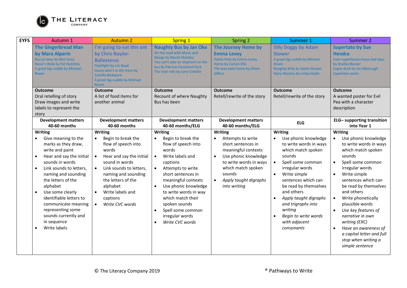

| <b>EYFS</b> | Autumn 1                                                                                                                                                                                                                                                                                                                                                                                               | <b>Autumn 2</b>                                                                                                                                                                                                                                                                             | <b>Spring 1</b>                                                                                                                                                                                                                                                                                                                                            | Spring 2                                                                                                                                                                                               | Summer 1                                                                                                                                                                                                                                                                                                                                                                               | Summer 2                                                                                                                                                                                                                                                                                                                                                                                                                                                                  |
|-------------|--------------------------------------------------------------------------------------------------------------------------------------------------------------------------------------------------------------------------------------------------------------------------------------------------------------------------------------------------------------------------------------------------------|---------------------------------------------------------------------------------------------------------------------------------------------------------------------------------------------------------------------------------------------------------------------------------------------|------------------------------------------------------------------------------------------------------------------------------------------------------------------------------------------------------------------------------------------------------------------------------------------------------------------------------------------------------------|--------------------------------------------------------------------------------------------------------------------------------------------------------------------------------------------------------|----------------------------------------------------------------------------------------------------------------------------------------------------------------------------------------------------------------------------------------------------------------------------------------------------------------------------------------------------------------------------------------|---------------------------------------------------------------------------------------------------------------------------------------------------------------------------------------------------------------------------------------------------------------------------------------------------------------------------------------------------------------------------------------------------------------------------------------------------------------------------|
|             | <b>The Gingerbread Man</b><br>by Mara Alperin<br><b>Biscuit bear by Mini Grey</b><br>Rosie's Walk by Pat Hutchins<br>A great big cuddle by Michael<br><b>Rosen</b>                                                                                                                                                                                                                                     | I'm going to eat this ant<br>by Chris Naylor-<br><b>Ballesteros</b><br>Flashlight by Lizi Boyd<br>Guess who's in the trees by<br>Camilla Bedoyere<br>A great big cuddle by Michael<br>Rosen                                                                                                 | <b>Naughty Bus by Jan Oke</b><br>On the road with Mavis and<br>Marge by Niamh Sharkey<br>You can't take an elephant on the<br>bus by Patricia Cleveland Peck<br>The train ride by June Crebbin                                                                                                                                                             | <b>The Journey Home by</b><br><b>Emma Levey</b><br>Hattie Peck by Emma Levey<br>Home by Carson Ellis<br>The way back home by Oliver<br><b>Jeffers</b>                                                  | <b>Silly Doggy by Adam</b><br><b>Stower</b><br>A great big cuddle by Michael<br><b>Rosen</b><br>Naughty Kitty by Adam Stower<br><b>Hairy Maclary by Linley Dodd</b>                                                                                                                                                                                                                    | <b>Supertato by Sue</b><br><b>Hendra</b><br>Even superheroes have bad days<br>by Shelley Becker<br>Super duck by Jez Alborough<br>Supertato series                                                                                                                                                                                                                                                                                                                        |
|             | <b>Outcome</b>                                                                                                                                                                                                                                                                                                                                                                                         | <b>Outcome</b>                                                                                                                                                                                                                                                                              | <b>Outcome</b>                                                                                                                                                                                                                                                                                                                                             | <b>Outcome</b>                                                                                                                                                                                         | <b>Outcome</b>                                                                                                                                                                                                                                                                                                                                                                         | <b>Outcome</b>                                                                                                                                                                                                                                                                                                                                                                                                                                                            |
|             | Oral retelling of story<br>Draw images and write<br>labels to represent the<br>story                                                                                                                                                                                                                                                                                                                   | A list of food items for<br>another animal                                                                                                                                                                                                                                                  | Recount of where Naughty<br>Bus has been                                                                                                                                                                                                                                                                                                                   | Retell/rewrite of the story                                                                                                                                                                            | Retell/rewrite of the story                                                                                                                                                                                                                                                                                                                                                            | A wanted poster for Evil<br>Pea with a character<br>description                                                                                                                                                                                                                                                                                                                                                                                                           |
|             | <b>Development matters</b><br>40-60 months                                                                                                                                                                                                                                                                                                                                                             | <b>Development matters</b><br>40-60 months                                                                                                                                                                                                                                                  | <b>Development matters</b><br>40-60 months/ELG                                                                                                                                                                                                                                                                                                             | <b>Development matters</b><br>40-60 months/ELG                                                                                                                                                         | <b>ELG</b>                                                                                                                                                                                                                                                                                                                                                                             | <b>ELG-</b> supporting transition<br>into Year 1                                                                                                                                                                                                                                                                                                                                                                                                                          |
|             | <b>Writing</b>                                                                                                                                                                                                                                                                                                                                                                                         | <b>Writing</b>                                                                                                                                                                                                                                                                              | <b>Writing</b>                                                                                                                                                                                                                                                                                                                                             | <b>Writing</b>                                                                                                                                                                                         | Writing                                                                                                                                                                                                                                                                                                                                                                                | Writing                                                                                                                                                                                                                                                                                                                                                                                                                                                                   |
|             | Give meaning to the<br>marks as they draw,<br>write and paint<br>Hear and say the initial<br>$\bullet$<br>sounds in words<br>Link sounds to letters,<br>$\bullet$<br>naming and sounding<br>the letters of the<br>alphabet<br>Use some clearly<br>$\bullet$<br>identifiable letters to<br>communicate meaning<br>representing some<br>sounds currently and<br>in sequence<br>Write labels<br>$\bullet$ | Begin to break the<br>flow of speech into<br>words<br>Hear and say the initial<br>$\bullet$<br>sound in words<br>Link sounds to letters,<br>$\bullet$<br>naming and sounding<br>the letters of the<br>alphabet<br>Write labels and<br>$\bullet$<br>captions<br>Write CVC words<br>$\bullet$ | Begin to break the<br>flow of speech into<br>words<br>Write labels and<br>$\bullet$<br>captions<br>Attempts to write<br>$\bullet$<br>short sentences in<br>meaningful contexts<br>Use phonic knowledge<br>$\bullet$<br>to write words in way<br>which match their<br>spoken sounds<br>Spell some common<br>$\bullet$<br>irregular words<br>Write CVC words | Attempts to write<br>short sentences in<br>meaningful contexts<br>Use phonic knowledge<br>$\bullet$<br>to write words in ways<br>which match spoken<br>sounds<br>Apply taught digraphs<br>into writing | Use phonic knowledge<br>$\bullet$<br>to write words in ways<br>which match spoken<br>sounds<br>Spell some common<br>$\bullet$<br>irregular words<br>Write simple<br>$\bullet$<br>sentences which can<br>be read by themselves<br>and others<br>Apply taught digraphs<br>$\bullet$<br>and trigraphs into<br>writing<br>Begin to write words<br>$\bullet$<br>with adjacent<br>consonants | Use phonic knowledge<br>$\bullet$<br>to write words in ways<br>which match spoken<br>sounds<br>Spell some common<br>$\bullet$<br>irregular words<br>Write simple<br>$\bullet$<br>sentences which can<br>be read by themselves<br>and others<br>$\bullet$<br>Write phonetically<br>plausible words<br>Use key features of<br>narrative in own<br>writing (EXC)<br>Have an awareness of<br>$\bullet$<br>a capital letter and full<br>stop when writing a<br>simple sentence |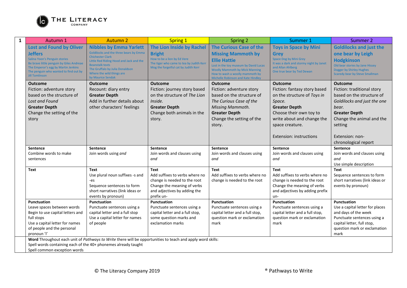

| $\mathbf{1}$ | Autumn 1                                                                  | <b>Autumn 2</b>                                                                                            | <b>Spring 1</b>                                                         | Spring 2                                                                       | Summer 1                                                          | Summer 2                                                           |
|--------------|---------------------------------------------------------------------------|------------------------------------------------------------------------------------------------------------|-------------------------------------------------------------------------|--------------------------------------------------------------------------------|-------------------------------------------------------------------|--------------------------------------------------------------------|
|              | <b>Lost and Found by Oliver</b>                                           | <b>Nibbles by Emma Yarlett</b>                                                                             | The Lion Inside by Rachel                                               | <b>The Curious Case of the</b>                                                 | <b>Toys in Space by Mini</b>                                      | <b>Goldilocks and just the</b>                                     |
|              | <b>Jeffers</b>                                                            | Goldilocks and the three bears by Emma<br><b>Chichester Clark</b>                                          | <b>Bright</b>                                                           | <b>Missing Mammoth by</b>                                                      | <b>Grey</b>                                                       | one bear by Leigh                                                  |
|              | Salina Yoon's Penguin stories<br>Be brave little penguin by Giles Andreae | Little Red Riding Hood and Jack and the                                                                    | How to be a lion by Ed Vere<br>The tiger who came to tea by Judith Kerr | <b>Ellie Hattie</b>                                                            | Space Dog by Mini Grey<br>It was a dark and stormy night by Janet | <b>Hodgkinson</b>                                                  |
|              | The Emperor's egg by Martin Jenkins                                       | <b>Beanstalk texts</b><br>The Gruffalo by Julia Donaldson                                                  | Mog the forgetful cat by Judith Kerr                                    | Lost in the toy museum by David Lucas<br><b>Woolly Mammoth by Mick Manning</b> | and Allan Ahlberg                                                 | Old bear stories by Jane Hissey<br><b>Dogger by Shirley Hughes</b> |
|              | The penguin who wanted to find out by<br><b>Jill Tomlinson</b>            | Where the wild things are<br>by Maurice Sendak                                                             |                                                                         | How to wash a woolly mammoth by<br>Michelle Robinson and Kate Hindley          | One true bear by Ted Dewan                                        | <b>Scaredy bear by Steve Smallman</b>                              |
|              | <b>Outcome</b>                                                            | <b>Outcome</b>                                                                                             | <b>Outcome</b>                                                          | <b>Outcome</b>                                                                 | <b>Outcome</b>                                                    | <b>Outcome</b>                                                     |
|              | Fiction: adventure story                                                  | Recount: diary entry                                                                                       | Fiction: journey story based                                            | Fiction: adventure story                                                       | Fiction: fantasy story based                                      | Fiction: traditional story                                         |
|              | based on the structure of                                                 | <b>Greater Depth</b>                                                                                       | on the structure of The Lion                                            | based on the structure of                                                      | on the structure of Toys in                                       | based on the structure of                                          |
|              | Lost and Found                                                            | Add in further details about                                                                               | Inside.                                                                 | The Curious Case of the                                                        | Space.                                                            | Goldilocks and just the one                                        |
|              | <b>Greater Depth</b>                                                      | other characters' feelings                                                                                 | <b>Greater Depth</b>                                                    | Missing Mammoth.                                                               | <b>Greater Depth</b>                                              | bear.                                                              |
|              | Change the setting of the                                                 |                                                                                                            | Change both animals in the                                              | <b>Greater Depth</b>                                                           | Choose their own toy to                                           | <b>Greater Depth</b>                                               |
|              | story                                                                     |                                                                                                            | story.                                                                  | Change the setting of the                                                      | write about and change the                                        | Change the animal and the                                          |
|              |                                                                           |                                                                                                            |                                                                         | story.                                                                         | space creature.                                                   | setting                                                            |
|              |                                                                           |                                                                                                            |                                                                         |                                                                                | Extension: instructions                                           | Extension: non-                                                    |
|              |                                                                           |                                                                                                            |                                                                         |                                                                                |                                                                   | chronological report                                               |
|              | <b>Sentence</b>                                                           | Sentence                                                                                                   | <b>Sentence</b>                                                         | Sentence                                                                       | Sentence                                                          | Sentence                                                           |
|              | Combine words to make                                                     | Join words using and                                                                                       | Join words and clauses using                                            | Join words and clauses using                                                   | Join words and clauses using                                      | Join words and clauses using                                       |
|              | sentences                                                                 |                                                                                                            | and                                                                     | and                                                                            | and                                                               | and                                                                |
|              | Text                                                                      | <b>Text</b>                                                                                                | <b>Text</b>                                                             | <b>Text</b>                                                                    | <b>Text</b>                                                       | Use simple description<br><b>Text</b>                              |
|              |                                                                           | Use plural noun suffixes -s and                                                                            | Add suffixes to verbs where no                                          | Add suffixes to verbs where no                                                 | Add suffixes to verbs where no                                    | Sequence sentences to form                                         |
|              |                                                                           | -es                                                                                                        | change is needed to the root                                            | change is needed to the root                                                   | change is needed to the root                                      | short narratives (link ideas or                                    |
|              |                                                                           | Sequence sentences to form                                                                                 | Change the meaning of verbs                                             |                                                                                | Change the meaning of verbs                                       | events by pronoun)                                                 |
|              |                                                                           | short narratives (link ideas or                                                                            | and adjectives by adding the                                            |                                                                                | and adjectives by adding prefix                                   |                                                                    |
|              | <b>Punctuation</b>                                                        | events by pronoun)<br>Punctuation                                                                          | prefix un-<br><b>Punctuation</b>                                        | <b>Punctuation</b>                                                             | un-<br>Punctuation                                                | <b>Punctuation</b>                                                 |
|              | Leave spaces between words                                                | Punctuate sentences using a                                                                                | Punctuate sentences using a                                             | Punctuate sentences using a                                                    | Punctuate sentences using a                                       | Use a capital letter for places                                    |
|              | Begin to use capital letters and                                          | capital letter and a full stop                                                                             | capital letter and a full stop,                                         | capital letter and a full stop,                                                | capital letter and a full stop,                                   | and days of the week                                               |
|              | full stops                                                                | Use a capital letter for names                                                                             | some question marks and                                                 | question mark or exclamation                                                   | question mark or exclamation                                      | Punctuate sentences using a                                        |
|              | Use a capital letter for names                                            | of people                                                                                                  | exclamation marks                                                       | mark                                                                           | mark                                                              | capital letter, full stop,                                         |
|              | of people and the personal<br>pronoun 'l'                                 |                                                                                                            |                                                                         |                                                                                |                                                                   | question mark or exclamation<br>mark                               |
|              |                                                                           | Word Throughout each unit of Pathways to Write there will be opportunities to teach and apply word skills: |                                                                         |                                                                                |                                                                   |                                                                    |
|              | Spell words containing each of the 40+ phonemes already taught            |                                                                                                            |                                                                         |                                                                                |                                                                   |                                                                    |
|              | Spell common exception words                                              |                                                                                                            |                                                                         |                                                                                |                                                                   |                                                                    |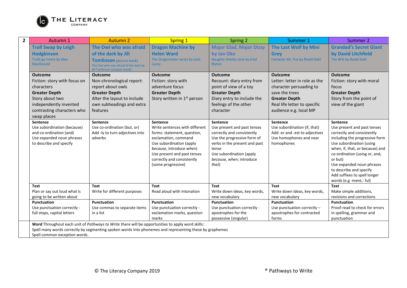

| $\overline{2}$ | Autumn 1                      | <b>Autumn 2</b>                                                                                         | <b>Spring 1</b>                         | Spring 2                           | Summer 1                        | Summer 2                                                |  |
|----------------|-------------------------------|---------------------------------------------------------------------------------------------------------|-----------------------------------------|------------------------------------|---------------------------------|---------------------------------------------------------|--|
|                | <b>Troll Swap by Leigh</b>    | The Owl who was afraid                                                                                  | <b>Dragon Machine by</b>                | <b>Major Glad, Major Dizzy</b>     | The Last Wolf by Mini           | <b>Grandad's Secret Giant</b>                           |  |
|                | <b>Hodgkinson</b>             | of the dark by Jill                                                                                     | <b>Helen Ward</b>                       | by Jan Oke                         | <b>Grey</b>                     | by David Litchfield                                     |  |
|                | Trolls go home by Alan        | <b>Tomlinson</b> (picture book)                                                                         | The Dragonsitter series by Josh         | <b>Naughty Amelia Jane by Enid</b> | Fantastic Mr. Fox by Roald Dahl | The BFG by Roald Dahl                                   |  |
|                | <b>MacDonald</b>              | The Owl who was afraid of the dark by<br><b>Jill Tomlinson (chapter book)</b>                           | Lacey                                   | <b>Blyton</b>                      |                                 |                                                         |  |
|                | <b>Outcome</b>                | <b>Outcome</b>                                                                                          | <b>Outcome</b>                          | <b>Outcome</b>                     | Outcome                         | <b>Outcome</b>                                          |  |
|                | Fiction: story with focus on  | Non-chronological report:                                                                               | Fiction: story with                     | Recount: diary entry from          | Letter: letter in role as the   | Fiction: story with moral                               |  |
|                | characters                    | report about owls                                                                                       | adventure focus                         | point of view of a toy             | character persuading to         | focus                                                   |  |
|                | <b>Greater Depth</b>          | <b>Greater Depth</b>                                                                                    | <b>Greater Depth</b>                    | <b>Greater Depth</b>               | save the trees                  | <b>Greater Depth</b>                                    |  |
|                | Story about two               | Alter the layout to include                                                                             | Story written in 1 <sup>st</sup> person | Diary entry to include the         | <b>Greater Depth</b>            | Story from the point of                                 |  |
|                | independently invented        | own subheadings and extra                                                                               |                                         | feelings of the other              | Real life letter to specific    | view of the giant                                       |  |
|                | contrasting characters who    | features                                                                                                |                                         | character                          | audience e.g. local MP          |                                                         |  |
|                | swap places                   |                                                                                                         |                                         |                                    |                                 |                                                         |  |
|                | Sentence                      | Sentence                                                                                                | Sentence                                | Sentence                           | Sentence                        | Sentence                                                |  |
|                | Use subordination (because)   | Use co-ordination (but, or)                                                                             | Write sentences with different          | Use present and past tenses        | Use subordination (if, that)    | Use present and past tenses                             |  |
|                | and co-ordination (and)       | Add -ly to turn adjectives into                                                                         | forms: statement, question,             | correctly and consistently         | Add -er and -est to adjectives  | correctly and consistently                              |  |
|                | Use expanded noun phrases     | adverbs                                                                                                 | exclamation, command                    | Use the progressive form of        | Use homophones and near         | including the progressive form                          |  |
|                | to describe and specify       |                                                                                                         | Use subordination (apply                | verbs in the present and past      | homophones                      | Use subordination (using                                |  |
|                |                               |                                                                                                         | because, introduce when)                | tense                              |                                 | when, if, that, or because) and                         |  |
|                |                               |                                                                                                         | Use present and past tenses             | Use subordination (apply           |                                 | co-ordination (using or, and,                           |  |
|                |                               |                                                                                                         | correctly and consistently              | because, when; introduce           |                                 | or but)                                                 |  |
|                |                               |                                                                                                         | (some progressive)                      | that)                              |                                 | Use expanded noun phrases                               |  |
|                |                               |                                                                                                         |                                         |                                    |                                 | to describe and specify                                 |  |
|                |                               |                                                                                                         |                                         |                                    |                                 | Add suffixes to spell longer<br>words (e.g -ment,- ful) |  |
|                | Text                          | <b>Text</b>                                                                                             | <b>Text</b>                             | <b>Text</b>                        | <b>Text</b>                     | Text                                                    |  |
|                | Plan or say out loud what is  | Write for different purposes                                                                            | Read aloud with intonation              | Write down ideas, key words,       | Write down ideas, key words,    | Make simple additions,                                  |  |
|                | going to be written about     |                                                                                                         |                                         | new vocabulary                     | new vocabulary                  | revisions and corrections                               |  |
|                | Punctuation                   | <b>Punctuation</b>                                                                                      | Punctuation                             | Punctuation                        | Punctuation                     | Punctuation                                             |  |
|                | Use punctuation correctly -   | Use commas to separate items                                                                            | Use punctuation correctly -             | Use punctuation correctly -        | Use punctuation correctly -     | Proof-read to check for errors                          |  |
|                | full stops, capital letters   | in a list                                                                                               | exclamation marks, question             | apostrophes for the                | apostrophes for contracted      | in spelling, grammar and                                |  |
|                |                               |                                                                                                         | marks                                   | possessive (singular)              | forms                           | punctuation                                             |  |
|                |                               | Word Throughout each unit of Pathways to Write there will be opportunities to apply word skills:        |                                         |                                    |                                 |                                                         |  |
|                |                               | Spell many words correctly by segmenting spoken words into phonemes and representing these by graphemes |                                         |                                    |                                 |                                                         |  |
|                | Spell common exception words. |                                                                                                         |                                         |                                    |                                 |                                                         |  |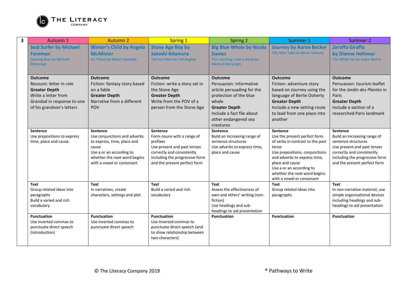

| 3 | Autumn 1                                                                                                                                            | <b>Autumn 2</b>                                                                                                                                                                  | <b>Spring 1</b>                                                                                                                                                                   | Spring 2                                                                                                                                                                                             | Summer 1                                                                                                                                                                                                                                                                   | Summer 2                                                                                                                                                                                              |
|---|-----------------------------------------------------------------------------------------------------------------------------------------------------|----------------------------------------------------------------------------------------------------------------------------------------------------------------------------------|-----------------------------------------------------------------------------------------------------------------------------------------------------------------------------------|------------------------------------------------------------------------------------------------------------------------------------------------------------------------------------------------------|----------------------------------------------------------------------------------------------------------------------------------------------------------------------------------------------------------------------------------------------------------------------------|-------------------------------------------------------------------------------------------------------------------------------------------------------------------------------------------------------|
|   | <b>Seal Surfer by Michael</b><br><b>Foreman</b><br>Dancing Bear by Michael<br><b>Morpurgo</b>                                                       | <b>Winter's Child by Angela</b><br><b>McAllister</b><br>Ice Palace by Robert Swindell                                                                                            | <b>Stone Age Boy by</b><br>Satoshi Kitamura<br>The Iron Man by Ted Hughes                                                                                                         | <b>Big Blue Whale by Nicola</b><br><b>Davies</b><br>This morning I met a whale by<br><b>Michael Morpurgo</b>                                                                                         | <b>Journey by Aaron Becker</b><br>Tilly Mint Tales by Berlie Doherty                                                                                                                                                                                                       | <b>Zeraffa Giraffa</b><br>by Dianne Hofmeyr<br>The White Fox by Jackie Morris                                                                                                                         |
|   | <b>Outcome</b><br>Recount: letter in role<br><b>Greater Depth</b><br>Write a letter from<br>Grandad in response to one<br>of his grandson's letters | <b>Outcome</b><br>Fiction: fantasy story based<br>on a fable<br><b>Greater Depth</b><br>Narrative from a different<br>POV                                                        | <b>Outcome</b><br>Fiction: write a story set in<br>the Stone Age<br><b>Greater Depth</b><br>Write from the POV of a<br>person from the Stone Age                                  | <b>Outcome</b><br>Persuasion: informative<br>article persuading for the<br>protection of the blue<br>whale<br><b>Greater Depth</b><br>Include a fact file about<br>other endangered sea<br>creatures | <b>Outcome</b><br>Fiction: adventure story<br>based on Journey using the<br>language of Berlie Doherty<br><b>Greater Depth</b><br>Include a new setting route<br>to lead from one place into<br>another                                                                    | <b>Outcome</b><br>Persuasion: tourism leaflet<br>for the Jardin des Plantes in<br>Paris<br><b>Greater Depth</b><br>Include a section of a<br>researched Paris landmark                                |
|   | <b>Sentence</b><br>Use prepositions to express<br>time, place and cause.                                                                            | <b>Sentence</b><br>Use conjunctions and adverbs<br>to express, time, place and<br>cause<br>Use a or an according to<br>whether the next word begins<br>with a vowel or consonant | Sentence<br>Form nouns with a range of<br>prefixes<br>Use present and past tenses<br>correctly and consistently<br>including the progressive form<br>and the present perfect form | Sentence<br>Build an increasing range of<br>sentence structures<br>Use adverbs to express time,<br>place and cause                                                                                   | <b>Sentence</b><br>Use the present perfect form<br>of verbs in contrast to the past<br>tense<br>Use prepositions, conjunctions<br>and adverbs to express time,<br>place and cause<br>Use a or an according to<br>whether the next word begins<br>with a vowel or consonant | <b>Sentence</b><br>Build an increasing range of<br>sentence structures<br>Use present and past tenses<br>correctly and consistently<br>including the progressive form<br>and the present perfect form |
|   | <b>Text</b><br>Group related ideas into<br>paragraphs<br>Build a varied and rich<br>vocabulary                                                      | <b>Text</b><br>In narratives, create<br>characters, settings and plot                                                                                                            | <b>Text</b><br>Build a varied and rich<br>vocabulary                                                                                                                              | <b>Text</b><br>Assess the effectiveness of<br>own and others' writing (non-<br>fiction)<br>Use headings and sub-<br>headings to aid presentation                                                     | Text<br>Group related ideas into<br>paragraphs                                                                                                                                                                                                                             | <b>Text</b><br>In non-narrative material, use<br>simple organisational devices<br>including headings and sub-<br>headings to aid presentation                                                         |
|   | Punctuation<br>Use inverted commas to<br>punctuate direct speech<br>(introduction)                                                                  | Punctuation<br>Use inverted commas to<br>punctuate direct speech                                                                                                                 | Punctuation<br>Use inverted commas to<br>punctuate direct speech (and<br>to show relationship between<br>two characters)                                                          | <b>Punctuation</b>                                                                                                                                                                                   | <b>Punctuation</b>                                                                                                                                                                                                                                                         | <b>Punctuation</b>                                                                                                                                                                                    |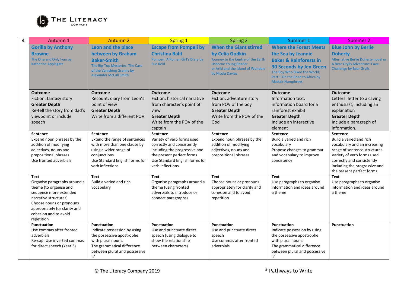

| <b>Escape from Pompeii by</b><br><b>Gorilla by Anthony</b><br>Leon and the place<br><b>When the Giant stirred</b><br><b>Where the Forest Meets</b><br><b>Blue John by Berlie</b><br>between by Graham<br><b>Christina Balit</b><br>by Celia Godkin<br>the Sea by Jeannie<br><b>Doherty</b><br><b>Browne</b><br>Journey to the Centre of the Earth<br>Alternative Berlie Doherty novel or<br>The One and Only Ivan by<br>Pompeii: A Roman Girl's Diary by<br><b>Baker &amp; Rainforests in</b><br><b>Baker-Smith</b><br>A Bear Grylls Adventure: Cave<br><b>Usborne Young Reader</b><br>Katherine Applegate<br><b>Sue Reid</b><br>The Big-Top Mysteries: The Case<br><b>30 Seconds by Jen Green</b><br>or Ariki and the Island of Wonders<br><b>Challenge by Bear Grylls</b><br>of the Vanishing Granny by<br>The Boy Who Biked the World:<br>by Nicola Davies<br><b>Alexander McCall Smith</b><br>Part 1 On the Road to Africa by<br><b>Alastair Humphreys</b><br><b>Outcome</b><br><b>Outcome</b><br><b>Outcome</b><br><b>Outcome</b><br><b>Outcome</b><br><b>Outcome</b><br>Fiction: historical narrative<br>Fiction: fantasy story<br>Recount: diary from Leon's<br>Fiction: adventure story<br>Information text:<br>Letters: letter to a caving<br><b>Greater Depth</b><br>point of view<br>from character's point of<br>from POV of the boy<br>information board for a<br>enthusiast, including an<br>Re-tell the story from dad's<br><b>Greater Depth</b><br><b>Greater Depth</b><br>explanation<br>rainforest exhibit<br>view<br>Write from a different POV<br>Write from the POV of the<br>viewpoint or include<br><b>Greater Depth</b><br><b>Greater Depth</b><br><b>Greater Depth</b><br>Include a paragraph of<br>Write from the POV of the<br>Include an interactive<br>speech<br>God<br>information.<br>captain<br>element<br><b>Sentence</b><br>Sentence<br>Sentence<br>Sentence<br>Sentence<br><b>Sentence</b><br>Expand noun phrases by the<br>Extend the range of sentences<br>Variety of verb forms used<br>Expand noun phrases by the<br>Build a varied and rich<br>Build a varied and rich<br>addition of modifying<br>with more than one clause by<br>correctly and consistently<br>addition of modifying<br>vocabulary<br>vocabulary and an increasing<br>adjectives, nouns and<br>using a wider range of<br>including the progressive and<br>adjectives, nouns and<br>Propose changes to grammar<br>range of sentence structures<br>the present perfect forms<br>prepositional phrases<br>conjunctions<br>prepositional phrases<br>and vocabulary to improve<br>Variety of verb forms used<br>Use fronted adverbials<br>Use Standard English forms for<br>Use Standard English forms for<br>correctly and consistently<br>consistency<br>verb inflections<br>verb inflections<br>including the progressive and<br>the present perfect forms<br><b>Text</b><br>Text<br>Text<br>Text<br><b>Text</b><br>Text<br>Build a varied and rich<br>Organise paragraphs around a<br>Organise paragraphs around a<br>Use paragraphs to organise<br>Use paragraphs to organise<br>Choose nouns or pronouns<br>information and ideas around<br>theme (to organise and<br>vocabulary<br>theme (using fronted<br>appropriately for clarity and<br>information and ideas around<br>adverbials to introduce or<br>cohesion and to avoid<br>sequence more extended<br>a theme<br>a theme<br>narrative structures)<br>connect paragraphs)<br>repetition<br>Choose nouns or pronouns<br>appropriately for clarity and<br>cohesion and to avoid<br>repetition<br><b>Punctuation</b><br><b>Punctuation</b><br><b>Punctuation</b><br><b>Punctuation</b><br>Punctuation<br>Punctuation<br>Use commas after fronted<br>Indicate possession by using<br>Use and punctuate direct<br>Use and punctuate direct<br>Indicate possession by using<br>adverbials<br>the possessive apostrophe<br>speech (using dialogue to<br>speech<br>the possessive apostrophe<br>with plural nouns.<br>show the relationship<br>Use commas after fronted<br>with plural nouns.<br>Re-cap: Use inverted commas<br>for direct speech (Year 3)<br>The grammatical difference<br>between characters)<br>The grammatical difference<br>adverbials<br>between plural and possessive<br>between plural and possessive | 4 | Autumn 1 | <b>Autumn 2</b>               | <b>Spring 1</b> | <b>Spring 2</b> | Summer 1 | <b>Summer 2</b> |
|-----------------------------------------------------------------------------------------------------------------------------------------------------------------------------------------------------------------------------------------------------------------------------------------------------------------------------------------------------------------------------------------------------------------------------------------------------------------------------------------------------------------------------------------------------------------------------------------------------------------------------------------------------------------------------------------------------------------------------------------------------------------------------------------------------------------------------------------------------------------------------------------------------------------------------------------------------------------------------------------------------------------------------------------------------------------------------------------------------------------------------------------------------------------------------------------------------------------------------------------------------------------------------------------------------------------------------------------------------------------------------------------------------------------------------------------------------------------------------------------------------------------------------------------------------------------------------------------------------------------------------------------------------------------------------------------------------------------------------------------------------------------------------------------------------------------------------------------------------------------------------------------------------------------------------------------------------------------------------------------------------------------------------------------------------------------------------------------------------------------------------------------------------------------------------------------------------------------------------------------------------------------------------------------------------------------------------------------------------------------------------------------------------------------------------------------------------------------------------------------------------------------------------------------------------------------------------------------------------------------------------------------------------------------------------------------------------------------------------------------------------------------------------------------------------------------------------------------------------------------------------------------------------------------------------------------------------------------------------------------------------------------------------------------------------------------------------------------------------------------------------------------------------------------------------------------------------------------------------------------------------------------------------------------------------------------------------------------------------------------------------------------------------------------------------------------------------------------------------------------------------------------------------------------------------------------------------------------------------------------------------------------------------------------------------------------------------------------------------------------------------------------------------------------------------------------------------------------------------------------------------------------------------------------------------------------------------------------------------------------------------------------------------------------------------------------------------------------------------------------------------------------------------------------------------------------------------------------------------------------------------------------------------------------|---|----------|-------------------------------|-----------------|-----------------|----------|-----------------|
|                                                                                                                                                                                                                                                                                                                                                                                                                                                                                                                                                                                                                                                                                                                                                                                                                                                                                                                                                                                                                                                                                                                                                                                                                                                                                                                                                                                                                                                                                                                                                                                                                                                                                                                                                                                                                                                                                                                                                                                                                                                                                                                                                                                                                                                                                                                                                                                                                                                                                                                                                                                                                                                                                                                                                                                                                                                                                                                                                                                                                                                                                                                                                                                                                                                                                                                                                                                                                                                                                                                                                                                                                                                                                                                                                                                                                                                                                                                                                                                                                                                                                                                                                                                                                                                                                         |   |          |                               |                 |                 |          |                 |
|                                                                                                                                                                                                                                                                                                                                                                                                                                                                                                                                                                                                                                                                                                                                                                                                                                                                                                                                                                                                                                                                                                                                                                                                                                                                                                                                                                                                                                                                                                                                                                                                                                                                                                                                                                                                                                                                                                                                                                                                                                                                                                                                                                                                                                                                                                                                                                                                                                                                                                                                                                                                                                                                                                                                                                                                                                                                                                                                                                                                                                                                                                                                                                                                                                                                                                                                                                                                                                                                                                                                                                                                                                                                                                                                                                                                                                                                                                                                                                                                                                                                                                                                                                                                                                                                                         |   |          |                               |                 |                 |          |                 |
|                                                                                                                                                                                                                                                                                                                                                                                                                                                                                                                                                                                                                                                                                                                                                                                                                                                                                                                                                                                                                                                                                                                                                                                                                                                                                                                                                                                                                                                                                                                                                                                                                                                                                                                                                                                                                                                                                                                                                                                                                                                                                                                                                                                                                                                                                                                                                                                                                                                                                                                                                                                                                                                                                                                                                                                                                                                                                                                                                                                                                                                                                                                                                                                                                                                                                                                                                                                                                                                                                                                                                                                                                                                                                                                                                                                                                                                                                                                                                                                                                                                                                                                                                                                                                                                                                         |   |          |                               |                 |                 |          |                 |
|                                                                                                                                                                                                                                                                                                                                                                                                                                                                                                                                                                                                                                                                                                                                                                                                                                                                                                                                                                                                                                                                                                                                                                                                                                                                                                                                                                                                                                                                                                                                                                                                                                                                                                                                                                                                                                                                                                                                                                                                                                                                                                                                                                                                                                                                                                                                                                                                                                                                                                                                                                                                                                                                                                                                                                                                                                                                                                                                                                                                                                                                                                                                                                                                                                                                                                                                                                                                                                                                                                                                                                                                                                                                                                                                                                                                                                                                                                                                                                                                                                                                                                                                                                                                                                                                                         |   |          |                               |                 |                 |          |                 |
|                                                                                                                                                                                                                                                                                                                                                                                                                                                                                                                                                                                                                                                                                                                                                                                                                                                                                                                                                                                                                                                                                                                                                                                                                                                                                                                                                                                                                                                                                                                                                                                                                                                                                                                                                                                                                                                                                                                                                                                                                                                                                                                                                                                                                                                                                                                                                                                                                                                                                                                                                                                                                                                                                                                                                                                                                                                                                                                                                                                                                                                                                                                                                                                                                                                                                                                                                                                                                                                                                                                                                                                                                                                                                                                                                                                                                                                                                                                                                                                                                                                                                                                                                                                                                                                                                         |   |          |                               |                 |                 |          |                 |
|                                                                                                                                                                                                                                                                                                                                                                                                                                                                                                                                                                                                                                                                                                                                                                                                                                                                                                                                                                                                                                                                                                                                                                                                                                                                                                                                                                                                                                                                                                                                                                                                                                                                                                                                                                                                                                                                                                                                                                                                                                                                                                                                                                                                                                                                                                                                                                                                                                                                                                                                                                                                                                                                                                                                                                                                                                                                                                                                                                                                                                                                                                                                                                                                                                                                                                                                                                                                                                                                                                                                                                                                                                                                                                                                                                                                                                                                                                                                                                                                                                                                                                                                                                                                                                                                                         |   |          |                               |                 |                 |          |                 |
|                                                                                                                                                                                                                                                                                                                                                                                                                                                                                                                                                                                                                                                                                                                                                                                                                                                                                                                                                                                                                                                                                                                                                                                                                                                                                                                                                                                                                                                                                                                                                                                                                                                                                                                                                                                                                                                                                                                                                                                                                                                                                                                                                                                                                                                                                                                                                                                                                                                                                                                                                                                                                                                                                                                                                                                                                                                                                                                                                                                                                                                                                                                                                                                                                                                                                                                                                                                                                                                                                                                                                                                                                                                                                                                                                                                                                                                                                                                                                                                                                                                                                                                                                                                                                                                                                         |   |          |                               |                 |                 |          |                 |
|                                                                                                                                                                                                                                                                                                                                                                                                                                                                                                                                                                                                                                                                                                                                                                                                                                                                                                                                                                                                                                                                                                                                                                                                                                                                                                                                                                                                                                                                                                                                                                                                                                                                                                                                                                                                                                                                                                                                                                                                                                                                                                                                                                                                                                                                                                                                                                                                                                                                                                                                                                                                                                                                                                                                                                                                                                                                                                                                                                                                                                                                                                                                                                                                                                                                                                                                                                                                                                                                                                                                                                                                                                                                                                                                                                                                                                                                                                                                                                                                                                                                                                                                                                                                                                                                                         |   |          |                               |                 |                 |          |                 |
|                                                                                                                                                                                                                                                                                                                                                                                                                                                                                                                                                                                                                                                                                                                                                                                                                                                                                                                                                                                                                                                                                                                                                                                                                                                                                                                                                                                                                                                                                                                                                                                                                                                                                                                                                                                                                                                                                                                                                                                                                                                                                                                                                                                                                                                                                                                                                                                                                                                                                                                                                                                                                                                                                                                                                                                                                                                                                                                                                                                                                                                                                                                                                                                                                                                                                                                                                                                                                                                                                                                                                                                                                                                                                                                                                                                                                                                                                                                                                                                                                                                                                                                                                                                                                                                                                         |   |          |                               |                 |                 |          |                 |
|                                                                                                                                                                                                                                                                                                                                                                                                                                                                                                                                                                                                                                                                                                                                                                                                                                                                                                                                                                                                                                                                                                                                                                                                                                                                                                                                                                                                                                                                                                                                                                                                                                                                                                                                                                                                                                                                                                                                                                                                                                                                                                                                                                                                                                                                                                                                                                                                                                                                                                                                                                                                                                                                                                                                                                                                                                                                                                                                                                                                                                                                                                                                                                                                                                                                                                                                                                                                                                                                                                                                                                                                                                                                                                                                                                                                                                                                                                                                                                                                                                                                                                                                                                                                                                                                                         |   |          |                               |                 |                 |          |                 |
|                                                                                                                                                                                                                                                                                                                                                                                                                                                                                                                                                                                                                                                                                                                                                                                                                                                                                                                                                                                                                                                                                                                                                                                                                                                                                                                                                                                                                                                                                                                                                                                                                                                                                                                                                                                                                                                                                                                                                                                                                                                                                                                                                                                                                                                                                                                                                                                                                                                                                                                                                                                                                                                                                                                                                                                                                                                                                                                                                                                                                                                                                                                                                                                                                                                                                                                                                                                                                                                                                                                                                                                                                                                                                                                                                                                                                                                                                                                                                                                                                                                                                                                                                                                                                                                                                         |   |          |                               |                 |                 |          |                 |
|                                                                                                                                                                                                                                                                                                                                                                                                                                                                                                                                                                                                                                                                                                                                                                                                                                                                                                                                                                                                                                                                                                                                                                                                                                                                                                                                                                                                                                                                                                                                                                                                                                                                                                                                                                                                                                                                                                                                                                                                                                                                                                                                                                                                                                                                                                                                                                                                                                                                                                                                                                                                                                                                                                                                                                                                                                                                                                                                                                                                                                                                                                                                                                                                                                                                                                                                                                                                                                                                                                                                                                                                                                                                                                                                                                                                                                                                                                                                                                                                                                                                                                                                                                                                                                                                                         |   |          |                               |                 |                 |          |                 |
|                                                                                                                                                                                                                                                                                                                                                                                                                                                                                                                                                                                                                                                                                                                                                                                                                                                                                                                                                                                                                                                                                                                                                                                                                                                                                                                                                                                                                                                                                                                                                                                                                                                                                                                                                                                                                                                                                                                                                                                                                                                                                                                                                                                                                                                                                                                                                                                                                                                                                                                                                                                                                                                                                                                                                                                                                                                                                                                                                                                                                                                                                                                                                                                                                                                                                                                                                                                                                                                                                                                                                                                                                                                                                                                                                                                                                                                                                                                                                                                                                                                                                                                                                                                                                                                                                         |   |          |                               |                 |                 |          |                 |
|                                                                                                                                                                                                                                                                                                                                                                                                                                                                                                                                                                                                                                                                                                                                                                                                                                                                                                                                                                                                                                                                                                                                                                                                                                                                                                                                                                                                                                                                                                                                                                                                                                                                                                                                                                                                                                                                                                                                                                                                                                                                                                                                                                                                                                                                                                                                                                                                                                                                                                                                                                                                                                                                                                                                                                                                                                                                                                                                                                                                                                                                                                                                                                                                                                                                                                                                                                                                                                                                                                                                                                                                                                                                                                                                                                                                                                                                                                                                                                                                                                                                                                                                                                                                                                                                                         |   |          |                               |                 |                 |          |                 |
|                                                                                                                                                                                                                                                                                                                                                                                                                                                                                                                                                                                                                                                                                                                                                                                                                                                                                                                                                                                                                                                                                                                                                                                                                                                                                                                                                                                                                                                                                                                                                                                                                                                                                                                                                                                                                                                                                                                                                                                                                                                                                                                                                                                                                                                                                                                                                                                                                                                                                                                                                                                                                                                                                                                                                                                                                                                                                                                                                                                                                                                                                                                                                                                                                                                                                                                                                                                                                                                                                                                                                                                                                                                                                                                                                                                                                                                                                                                                                                                                                                                                                                                                                                                                                                                                                         |   |          |                               |                 |                 |          |                 |
|                                                                                                                                                                                                                                                                                                                                                                                                                                                                                                                                                                                                                                                                                                                                                                                                                                                                                                                                                                                                                                                                                                                                                                                                                                                                                                                                                                                                                                                                                                                                                                                                                                                                                                                                                                                                                                                                                                                                                                                                                                                                                                                                                                                                                                                                                                                                                                                                                                                                                                                                                                                                                                                                                                                                                                                                                                                                                                                                                                                                                                                                                                                                                                                                                                                                                                                                                                                                                                                                                                                                                                                                                                                                                                                                                                                                                                                                                                                                                                                                                                                                                                                                                                                                                                                                                         |   |          |                               |                 |                 |          |                 |
|                                                                                                                                                                                                                                                                                                                                                                                                                                                                                                                                                                                                                                                                                                                                                                                                                                                                                                                                                                                                                                                                                                                                                                                                                                                                                                                                                                                                                                                                                                                                                                                                                                                                                                                                                                                                                                                                                                                                                                                                                                                                                                                                                                                                                                                                                                                                                                                                                                                                                                                                                                                                                                                                                                                                                                                                                                                                                                                                                                                                                                                                                                                                                                                                                                                                                                                                                                                                                                                                                                                                                                                                                                                                                                                                                                                                                                                                                                                                                                                                                                                                                                                                                                                                                                                                                         |   |          |                               |                 |                 |          |                 |
|                                                                                                                                                                                                                                                                                                                                                                                                                                                                                                                                                                                                                                                                                                                                                                                                                                                                                                                                                                                                                                                                                                                                                                                                                                                                                                                                                                                                                                                                                                                                                                                                                                                                                                                                                                                                                                                                                                                                                                                                                                                                                                                                                                                                                                                                                                                                                                                                                                                                                                                                                                                                                                                                                                                                                                                                                                                                                                                                                                                                                                                                                                                                                                                                                                                                                                                                                                                                                                                                                                                                                                                                                                                                                                                                                                                                                                                                                                                                                                                                                                                                                                                                                                                                                                                                                         |   |          |                               |                 |                 |          |                 |
|                                                                                                                                                                                                                                                                                                                                                                                                                                                                                                                                                                                                                                                                                                                                                                                                                                                                                                                                                                                                                                                                                                                                                                                                                                                                                                                                                                                                                                                                                                                                                                                                                                                                                                                                                                                                                                                                                                                                                                                                                                                                                                                                                                                                                                                                                                                                                                                                                                                                                                                                                                                                                                                                                                                                                                                                                                                                                                                                                                                                                                                                                                                                                                                                                                                                                                                                                                                                                                                                                                                                                                                                                                                                                                                                                                                                                                                                                                                                                                                                                                                                                                                                                                                                                                                                                         |   |          |                               |                 |                 |          |                 |
|                                                                                                                                                                                                                                                                                                                                                                                                                                                                                                                                                                                                                                                                                                                                                                                                                                                                                                                                                                                                                                                                                                                                                                                                                                                                                                                                                                                                                                                                                                                                                                                                                                                                                                                                                                                                                                                                                                                                                                                                                                                                                                                                                                                                                                                                                                                                                                                                                                                                                                                                                                                                                                                                                                                                                                                                                                                                                                                                                                                                                                                                                                                                                                                                                                                                                                                                                                                                                                                                                                                                                                                                                                                                                                                                                                                                                                                                                                                                                                                                                                                                                                                                                                                                                                                                                         |   |          |                               |                 |                 |          |                 |
|                                                                                                                                                                                                                                                                                                                                                                                                                                                                                                                                                                                                                                                                                                                                                                                                                                                                                                                                                                                                                                                                                                                                                                                                                                                                                                                                                                                                                                                                                                                                                                                                                                                                                                                                                                                                                                                                                                                                                                                                                                                                                                                                                                                                                                                                                                                                                                                                                                                                                                                                                                                                                                                                                                                                                                                                                                                                                                                                                                                                                                                                                                                                                                                                                                                                                                                                                                                                                                                                                                                                                                                                                                                                                                                                                                                                                                                                                                                                                                                                                                                                                                                                                                                                                                                                                         |   |          |                               |                 |                 |          |                 |
|                                                                                                                                                                                                                                                                                                                                                                                                                                                                                                                                                                                                                                                                                                                                                                                                                                                                                                                                                                                                                                                                                                                                                                                                                                                                                                                                                                                                                                                                                                                                                                                                                                                                                                                                                                                                                                                                                                                                                                                                                                                                                                                                                                                                                                                                                                                                                                                                                                                                                                                                                                                                                                                                                                                                                                                                                                                                                                                                                                                                                                                                                                                                                                                                                                                                                                                                                                                                                                                                                                                                                                                                                                                                                                                                                                                                                                                                                                                                                                                                                                                                                                                                                                                                                                                                                         |   |          |                               |                 |                 |          |                 |
|                                                                                                                                                                                                                                                                                                                                                                                                                                                                                                                                                                                                                                                                                                                                                                                                                                                                                                                                                                                                                                                                                                                                                                                                                                                                                                                                                                                                                                                                                                                                                                                                                                                                                                                                                                                                                                                                                                                                                                                                                                                                                                                                                                                                                                                                                                                                                                                                                                                                                                                                                                                                                                                                                                                                                                                                                                                                                                                                                                                                                                                                                                                                                                                                                                                                                                                                                                                                                                                                                                                                                                                                                                                                                                                                                                                                                                                                                                                                                                                                                                                                                                                                                                                                                                                                                         |   |          |                               |                 |                 |          |                 |
|                                                                                                                                                                                                                                                                                                                                                                                                                                                                                                                                                                                                                                                                                                                                                                                                                                                                                                                                                                                                                                                                                                                                                                                                                                                                                                                                                                                                                                                                                                                                                                                                                                                                                                                                                                                                                                                                                                                                                                                                                                                                                                                                                                                                                                                                                                                                                                                                                                                                                                                                                                                                                                                                                                                                                                                                                                                                                                                                                                                                                                                                                                                                                                                                                                                                                                                                                                                                                                                                                                                                                                                                                                                                                                                                                                                                                                                                                                                                                                                                                                                                                                                                                                                                                                                                                         |   |          |                               |                 |                 |          |                 |
|                                                                                                                                                                                                                                                                                                                                                                                                                                                                                                                                                                                                                                                                                                                                                                                                                                                                                                                                                                                                                                                                                                                                                                                                                                                                                                                                                                                                                                                                                                                                                                                                                                                                                                                                                                                                                                                                                                                                                                                                                                                                                                                                                                                                                                                                                                                                                                                                                                                                                                                                                                                                                                                                                                                                                                                                                                                                                                                                                                                                                                                                                                                                                                                                                                                                                                                                                                                                                                                                                                                                                                                                                                                                                                                                                                                                                                                                                                                                                                                                                                                                                                                                                                                                                                                                                         |   |          |                               |                 |                 |          |                 |
|                                                                                                                                                                                                                                                                                                                                                                                                                                                                                                                                                                                                                                                                                                                                                                                                                                                                                                                                                                                                                                                                                                                                                                                                                                                                                                                                                                                                                                                                                                                                                                                                                                                                                                                                                                                                                                                                                                                                                                                                                                                                                                                                                                                                                                                                                                                                                                                                                                                                                                                                                                                                                                                                                                                                                                                                                                                                                                                                                                                                                                                                                                                                                                                                                                                                                                                                                                                                                                                                                                                                                                                                                                                                                                                                                                                                                                                                                                                                                                                                                                                                                                                                                                                                                                                                                         |   |          |                               |                 |                 |          |                 |
|                                                                                                                                                                                                                                                                                                                                                                                                                                                                                                                                                                                                                                                                                                                                                                                                                                                                                                                                                                                                                                                                                                                                                                                                                                                                                                                                                                                                                                                                                                                                                                                                                                                                                                                                                                                                                                                                                                                                                                                                                                                                                                                                                                                                                                                                                                                                                                                                                                                                                                                                                                                                                                                                                                                                                                                                                                                                                                                                                                                                                                                                                                                                                                                                                                                                                                                                                                                                                                                                                                                                                                                                                                                                                                                                                                                                                                                                                                                                                                                                                                                                                                                                                                                                                                                                                         |   |          |                               |                 |                 |          |                 |
|                                                                                                                                                                                                                                                                                                                                                                                                                                                                                                                                                                                                                                                                                                                                                                                                                                                                                                                                                                                                                                                                                                                                                                                                                                                                                                                                                                                                                                                                                                                                                                                                                                                                                                                                                                                                                                                                                                                                                                                                                                                                                                                                                                                                                                                                                                                                                                                                                                                                                                                                                                                                                                                                                                                                                                                                                                                                                                                                                                                                                                                                                                                                                                                                                                                                                                                                                                                                                                                                                                                                                                                                                                                                                                                                                                                                                                                                                                                                                                                                                                                                                                                                                                                                                                                                                         |   |          |                               |                 |                 |          |                 |
|                                                                                                                                                                                                                                                                                                                                                                                                                                                                                                                                                                                                                                                                                                                                                                                                                                                                                                                                                                                                                                                                                                                                                                                                                                                                                                                                                                                                                                                                                                                                                                                                                                                                                                                                                                                                                                                                                                                                                                                                                                                                                                                                                                                                                                                                                                                                                                                                                                                                                                                                                                                                                                                                                                                                                                                                                                                                                                                                                                                                                                                                                                                                                                                                                                                                                                                                                                                                                                                                                                                                                                                                                                                                                                                                                                                                                                                                                                                                                                                                                                                                                                                                                                                                                                                                                         |   |          |                               |                 |                 |          |                 |
|                                                                                                                                                                                                                                                                                                                                                                                                                                                                                                                                                                                                                                                                                                                                                                                                                                                                                                                                                                                                                                                                                                                                                                                                                                                                                                                                                                                                                                                                                                                                                                                                                                                                                                                                                                                                                                                                                                                                                                                                                                                                                                                                                                                                                                                                                                                                                                                                                                                                                                                                                                                                                                                                                                                                                                                                                                                                                                                                                                                                                                                                                                                                                                                                                                                                                                                                                                                                                                                                                                                                                                                                                                                                                                                                                                                                                                                                                                                                                                                                                                                                                                                                                                                                                                                                                         |   |          |                               |                 |                 |          |                 |
|                                                                                                                                                                                                                                                                                                                                                                                                                                                                                                                                                                                                                                                                                                                                                                                                                                                                                                                                                                                                                                                                                                                                                                                                                                                                                                                                                                                                                                                                                                                                                                                                                                                                                                                                                                                                                                                                                                                                                                                                                                                                                                                                                                                                                                                                                                                                                                                                                                                                                                                                                                                                                                                                                                                                                                                                                                                                                                                                                                                                                                                                                                                                                                                                                                                                                                                                                                                                                                                                                                                                                                                                                                                                                                                                                                                                                                                                                                                                                                                                                                                                                                                                                                                                                                                                                         |   |          |                               |                 |                 |          |                 |
|                                                                                                                                                                                                                                                                                                                                                                                                                                                                                                                                                                                                                                                                                                                                                                                                                                                                                                                                                                                                                                                                                                                                                                                                                                                                                                                                                                                                                                                                                                                                                                                                                                                                                                                                                                                                                                                                                                                                                                                                                                                                                                                                                                                                                                                                                                                                                                                                                                                                                                                                                                                                                                                                                                                                                                                                                                                                                                                                                                                                                                                                                                                                                                                                                                                                                                                                                                                                                                                                                                                                                                                                                                                                                                                                                                                                                                                                                                                                                                                                                                                                                                                                                                                                                                                                                         |   |          | $^{\prime} \text{s}^{\prime}$ |                 |                 | 's'      |                 |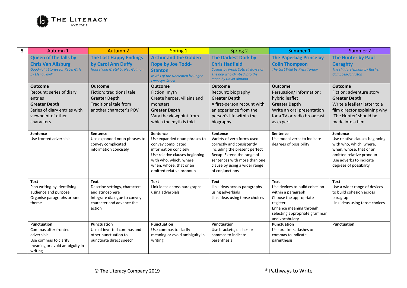

| 5 | Autumn 1                                                     | <b>Autumn 2</b>                                                                         | <b>Spring 1</b>                                                                                                                                                                                             | <b>Spring 2</b>                                                                                                                                                                                                                | Summer 1                                              | Summer 2                                                                                                                                                                                 |
|---|--------------------------------------------------------------|-----------------------------------------------------------------------------------------|-------------------------------------------------------------------------------------------------------------------------------------------------------------------------------------------------------------|--------------------------------------------------------------------------------------------------------------------------------------------------------------------------------------------------------------------------------|-------------------------------------------------------|------------------------------------------------------------------------------------------------------------------------------------------------------------------------------------------|
|   | <b>Queen of the falls by</b>                                 | <b>The Lost Happy Endings</b>                                                           | <b>Arthur and the Golden</b>                                                                                                                                                                                | <b>The Darkest Dark by</b>                                                                                                                                                                                                     | <b>The Paperbag Prince by</b>                         | <b>The Hunter by Paul</b>                                                                                                                                                                |
|   | <b>Chris Van Allsburg</b>                                    | by Carol Ann Duffy                                                                      | <b>Rope by Joe Todd-</b>                                                                                                                                                                                    | <b>Chris Hadfield</b>                                                                                                                                                                                                          | <b>Colin Thompson</b>                                 | <b>Geraghty</b>                                                                                                                                                                          |
|   | <b>Goodnight Stories for Rebel Girls</b><br>by Elena Favilli | <b>Hansel and Gretel by Neil Gaiman</b>                                                 | <b>Stanton</b><br>Myths of the Norsemen by Roger                                                                                                                                                            | <b>Cosmic by Frank Cottrell Boyce or</b><br>The boy who climbed into the                                                                                                                                                       | The Last Wild by Piers Torday                         | The child's elephant by Rachel<br>Campbell-Johnston                                                                                                                                      |
|   |                                                              |                                                                                         | Lancelyn Green                                                                                                                                                                                              | moon by David Almond                                                                                                                                                                                                           |                                                       |                                                                                                                                                                                          |
|   | <b>Outcome</b>                                               | <b>Outcome</b>                                                                          | <b>Outcome</b>                                                                                                                                                                                              | <b>Outcome</b>                                                                                                                                                                                                                 | <b>Outcome</b>                                        | <b>Outcome</b>                                                                                                                                                                           |
|   | Recount: series of diary                                     | Fiction: traditional tale                                                               | Fiction: myth                                                                                                                                                                                               | Recount: biography                                                                                                                                                                                                             | Persuasion/information:                               | Fiction: adventure story                                                                                                                                                                 |
|   | entries                                                      | <b>Greater Depth</b>                                                                    | Create heroes, villains and                                                                                                                                                                                 | <b>Greater Depth</b>                                                                                                                                                                                                           | hybrid leaflet                                        | <b>Greater Depth</b>                                                                                                                                                                     |
|   | <b>Greater Depth</b>                                         | <b>Traditional tale from</b>                                                            | monsters                                                                                                                                                                                                    | A first-person recount with                                                                                                                                                                                                    | <b>Greater Depth</b>                                  | Write a leaflet/ letter to a                                                                                                                                                             |
|   | Series of diary entries with                                 | another character's POV                                                                 | <b>Greater Depth</b>                                                                                                                                                                                        | an experience from the                                                                                                                                                                                                         | Write an oral presentation                            | film director explaining why                                                                                                                                                             |
|   | viewpoint of other                                           |                                                                                         | Vary the viewpoint from                                                                                                                                                                                     | person's life within the                                                                                                                                                                                                       | for a TV or radio broadcast                           | 'The Hunter' should be                                                                                                                                                                   |
|   | characters                                                   |                                                                                         | which the myth is told                                                                                                                                                                                      | biography                                                                                                                                                                                                                      | as expert                                             | made into a film                                                                                                                                                                         |
|   |                                                              |                                                                                         |                                                                                                                                                                                                             |                                                                                                                                                                                                                                | Sentence                                              |                                                                                                                                                                                          |
|   | Sentence<br>Use fronted adverbials                           | Sentence<br>Use expanded noun phrases to<br>convey complicated<br>information concisely | Sentence<br>Use expanded noun phrases to<br>convey complicated<br>information concisely<br>Use relative clauses beginning<br>with who, which, where,<br>when, whose, that or an<br>omitted relative pronoun | <b>Sentence</b><br>Variety of verb forms used<br>correctly and consistently<br>including the present perfect<br>Recap: Extend the range of<br>sentences with more than one<br>clause by using a wider range<br>of conjunctions | Use modal verbs to indicate<br>degrees of possibility | <b>Sentence</b><br>Use relative clauses beginning<br>with who, which, where,<br>when, whose, that or an<br>omitted relative pronoun<br>Use adverbs to indicate<br>degrees of possibility |
|   | <b>Text</b>                                                  | <b>Text</b>                                                                             | Text                                                                                                                                                                                                        | <b>Text</b>                                                                                                                                                                                                                    | <b>Text</b>                                           | <b>Text</b>                                                                                                                                                                              |
|   | Plan writing by identifying                                  | Describe settings, characters                                                           | Link ideas across paragraphs                                                                                                                                                                                | Link ideas across paragraphs                                                                                                                                                                                                   | Use devices to build cohesion                         | Use a wider range of devices                                                                                                                                                             |
|   | audience and purpose                                         | and atmosphere                                                                          | using adverbials                                                                                                                                                                                            | using adverbials                                                                                                                                                                                                               | within a paragraph                                    | to build cohesion across                                                                                                                                                                 |
|   | Organise paragraphs around a<br>theme                        | Integrate dialogue to convey<br>character and advance the                               |                                                                                                                                                                                                             | Link ideas using tense choices                                                                                                                                                                                                 | Choose the appropriate<br>register                    | paragraphs<br>Link ideas using tense choices                                                                                                                                             |
|   |                                                              | action                                                                                  |                                                                                                                                                                                                             |                                                                                                                                                                                                                                | Enhance meaning through                               |                                                                                                                                                                                          |
|   |                                                              |                                                                                         |                                                                                                                                                                                                             |                                                                                                                                                                                                                                | selecting appropriate grammar                         |                                                                                                                                                                                          |
|   |                                                              |                                                                                         |                                                                                                                                                                                                             |                                                                                                                                                                                                                                | and vocabulary                                        |                                                                                                                                                                                          |
|   | <b>Punctuation</b>                                           | <b>Punctuation</b>                                                                      | Punctuation                                                                                                                                                                                                 | <b>Punctuation</b>                                                                                                                                                                                                             | <b>Punctuation</b>                                    | Punctuation                                                                                                                                                                              |
|   | Commas after fronted                                         | Use of inverted commas and                                                              | Use commas to clarify                                                                                                                                                                                       | Use brackets, dashes or                                                                                                                                                                                                        | Use brackets, dashes or                               |                                                                                                                                                                                          |
|   | adverbials                                                   | other punctuation to                                                                    | meaning or avoid ambiguity in                                                                                                                                                                               | commas to indicate                                                                                                                                                                                                             | commas to indicate                                    |                                                                                                                                                                                          |
|   | Use commas to clarify<br>meaning or avoid ambiguity in       | punctuate direct speech                                                                 | writing                                                                                                                                                                                                     | parenthesis                                                                                                                                                                                                                    | parenthesis                                           |                                                                                                                                                                                          |
|   | writing                                                      |                                                                                         |                                                                                                                                                                                                             |                                                                                                                                                                                                                                |                                                       |                                                                                                                                                                                          |